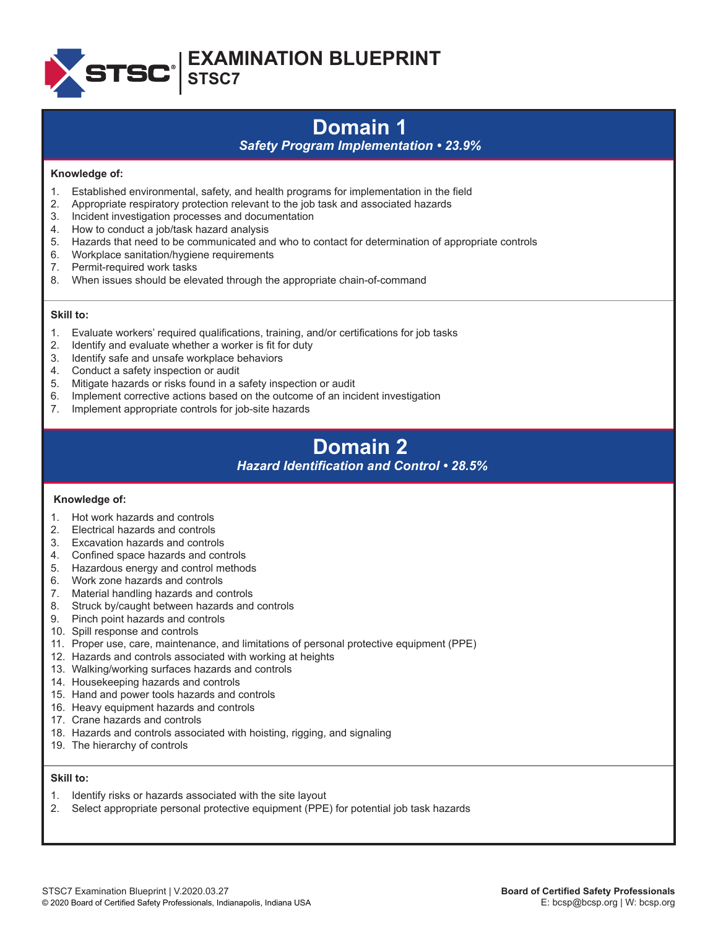

# **Domain 1**

### *Safety Program Implementation • 23.9%*

#### **Knowledge of:**

- 1. Established environmental, safety, and health programs for implementation in the field
- 2. Appropriate respiratory protection relevant to the job task and associated hazards
- 3. Incident investigation processes and documentation
- 4. How to conduct a job/task hazard analysis
- 5. Hazards that need to be communicated and who to contact for determination of appropriate controls
- 6. Workplace sanitation/hygiene requirements
- 7. Permit-required work tasks
- 8. When issues should be elevated through the appropriate chain-of-command

#### **Skill to:**

- 1. Evaluate workers' required qualifications, training, and/or certifications for job tasks
- 2. Identify and evaluate whether a worker is fit for duty
- 3. Identify safe and unsafe workplace behaviors
- 4. Conduct a safety inspection or audit
- 5. Mitigate hazards or risks found in a safety inspection or audit
- 6. Implement corrective actions based on the outcome of an incident investigation
- 7. Implement appropriate controls for job-site hazards

## **Domain 2**

 *Hazard Identification and Control • 28.5%*

#### **Knowledge of:**

- 1. Hot work hazards and controls
- 2. Electrical hazards and controls
- 3. Excavation hazards and controls
- 4. Confined space hazards and controls
- 5. Hazardous energy and control methods
- 6. Work zone hazards and controls
- 7. Material handling hazards and controls
- 8. Struck by/caught between hazards and controls
- 9. Pinch point hazards and controls
- 10. Spill response and controls
- 11. Proper use, care, maintenance, and limitations of personal protective equipment (PPE)
- 12. Hazards and controls associated with working at heights
- 13. Walking/working surfaces hazards and controls
- 14. Housekeeping hazards and controls
- 15. Hand and power tools hazards and controls
- 16. Heavy equipment hazards and controls
- 17. Crane hazards and controls
- 18. Hazards and controls associated with hoisting, rigging, and signaling
- 19. The hierarchy of controls

#### **Skill to:**

- 1. Identify risks or hazards associated with the site layout
- 2. Select appropriate personal protective equipment (PPE) for potential job task hazards